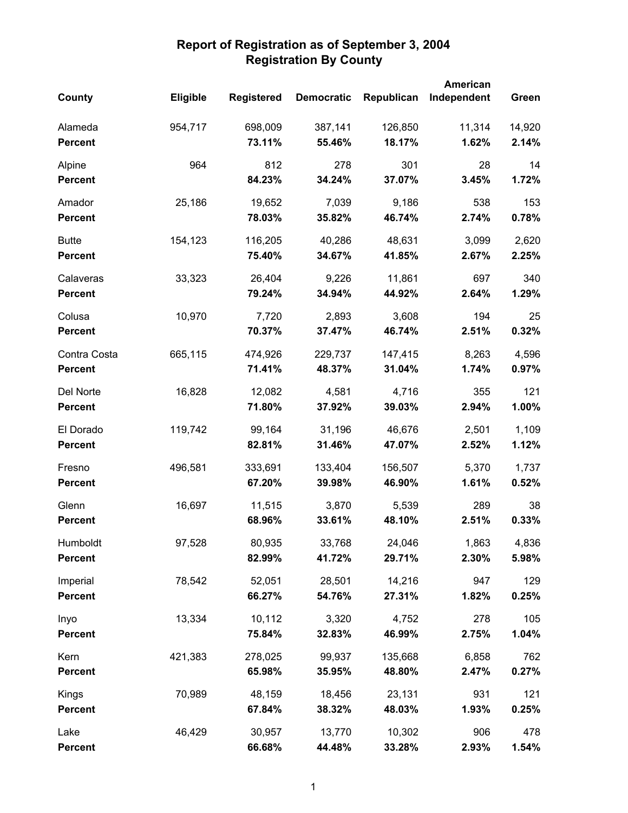|                             |                 |                   |                   |                   | <b>American</b> |              |
|-----------------------------|-----------------|-------------------|-------------------|-------------------|-----------------|--------------|
| County                      | <b>Eligible</b> | <b>Registered</b> | <b>Democratic</b> | Republican        | Independent     | Green        |
| Alameda                     | 954,717         | 698,009           | 387,141           | 126,850           | 11,314          | 14,920       |
| <b>Percent</b>              |                 | 73.11%            | 55.46%            | 18.17%            | 1.62%           | 2.14%        |
| Alpine                      | 964             | 812               | 278               | 301               | 28              | 14           |
| <b>Percent</b>              |                 | 84.23%            | 34.24%            | 37.07%            | 3.45%           | 1.72%        |
| Amador                      | 25,186          | 19,652            | 7,039             | 9,186             | 538             | 153          |
| <b>Percent</b>              |                 | 78.03%            | 35.82%            | 46.74%            | 2.74%           | 0.78%        |
| <b>Butte</b>                | 154,123         | 116,205           | 40,286            | 48,631            | 3,099           | 2,620        |
| <b>Percent</b>              |                 | 75.40%            | 34.67%            | 41.85%            | 2.67%           | 2.25%        |
| Calaveras<br><b>Percent</b> | 33,323          | 26,404<br>79.24%  | 9,226<br>34.94%   | 11,861<br>44.92%  | 697<br>2.64%    | 340<br>1.29% |
|                             |                 |                   |                   |                   |                 |              |
| Colusa<br><b>Percent</b>    | 10,970          | 7,720<br>70.37%   | 2,893<br>37.47%   | 3,608<br>46.74%   | 194<br>2.51%    | 25<br>0.32%  |
| Contra Costa                | 665,115         | 474,926           | 229,737           | 147,415           | 8,263           | 4,596        |
| <b>Percent</b>              |                 | 71.41%            | 48.37%            | 31.04%            | 1.74%           | 0.97%        |
| Del Norte                   | 16,828          | 12,082            | 4,581             | 4,716             | 355             | 121          |
| <b>Percent</b>              |                 | 71.80%            | 37.92%            | 39.03%            | 2.94%           | 1.00%        |
| El Dorado                   | 119,742         | 99,164            | 31,196            | 46,676            | 2,501           | 1,109        |
| <b>Percent</b>              |                 | 82.81%            | 31.46%            | 47.07%            | 2.52%           | 1.12%        |
| Fresno                      | 496,581         | 333,691           | 133,404           | 156,507           | 5,370           | 1,737        |
| <b>Percent</b>              |                 | 67.20%            | 39.98%            | 46.90%            | 1.61%           | 0.52%        |
| Glenn                       | 16,697          | 11,515            | 3,870             | 5,539             | 289             | 38           |
| <b>Percent</b>              |                 | 68.96%            | 33.61%            | 48.10%            | 2.51%           | 0.33%        |
| Humboldt                    | 97,528          | 80,935            | 33,768            | 24,046            | 1,863           | 4,836        |
| <b>Percent</b>              |                 | 82.99%            | 41.72%            | 29.71%            | 2.30%           | 5.98%        |
| Imperial                    | 78,542          | 52,051            | 28,501            | 14,216            | 947             | 129          |
| <b>Percent</b>              |                 | 66.27%            | 54.76%            | 27.31%            | 1.82%           | 0.25%        |
| Inyo<br><b>Percent</b>      | 13,334          | 10,112<br>75.84%  | 3,320<br>32.83%   | 4,752<br>46.99%   | 278<br>2.75%    | 105<br>1.04% |
|                             |                 |                   |                   |                   |                 |              |
| Kern<br><b>Percent</b>      | 421,383         | 278,025<br>65.98% | 99,937<br>35.95%  | 135,668<br>48.80% | 6,858<br>2.47%  | 762<br>0.27% |
|                             |                 |                   |                   |                   |                 |              |
| Kings<br><b>Percent</b>     | 70,989          | 48,159<br>67.84%  | 18,456<br>38.32%  | 23,131<br>48.03%  | 931<br>1.93%    | 121<br>0.25% |
| Lake                        | 46,429          | 30,957            | 13,770            | 10,302            | 906             | 478          |
| <b>Percent</b>              |                 | 66.68%            | 44.48%            | 33.28%            | 2.93%           | 1.54%        |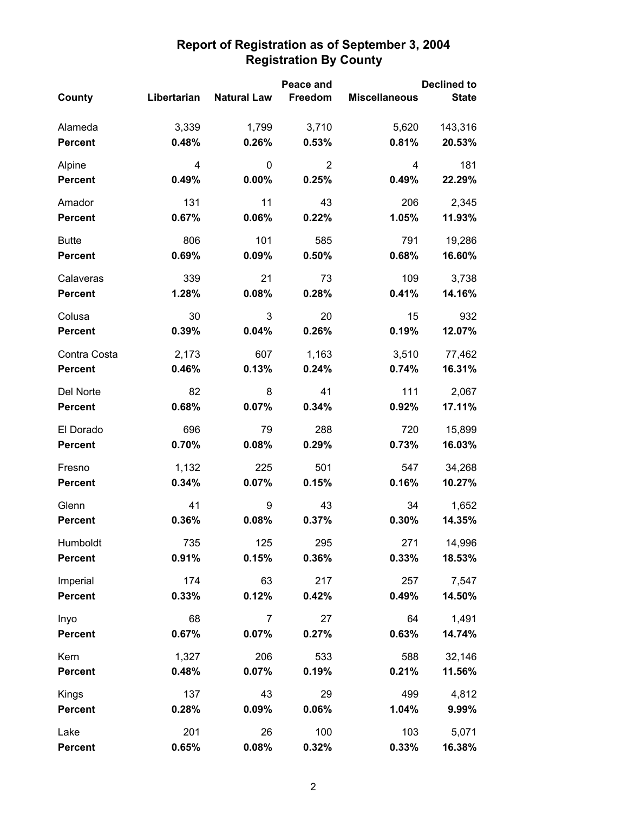|                |             |                    | Peace and      |                      | <b>Declined to</b> |
|----------------|-------------|--------------------|----------------|----------------------|--------------------|
| County         | Libertarian | <b>Natural Law</b> | Freedom        | <b>Miscellaneous</b> | <b>State</b>       |
| Alameda        | 3,339       | 1,799              | 3,710          | 5,620                | 143,316            |
| <b>Percent</b> | 0.48%       | 0.26%              | 0.53%          | 0.81%                | 20.53%             |
| Alpine         | 4           | 0                  | $\overline{2}$ | 4                    | 181                |
| <b>Percent</b> | 0.49%       | 0.00%              | 0.25%          | 0.49%                | 22.29%             |
| Amador         | 131         | 11                 | 43             | 206                  | 2,345              |
| <b>Percent</b> | 0.67%       | 0.06%              | 0.22%          | 1.05%                | 11.93%             |
| <b>Butte</b>   | 806         | 101                | 585            | 791                  | 19,286             |
| <b>Percent</b> | 0.69%       | 0.09%              | 0.50%          | 0.68%                | 16.60%             |
| Calaveras      | 339         | 21                 | 73             | 109                  | 3,738              |
| <b>Percent</b> | 1.28%       | 0.08%              | 0.28%          | 0.41%                | 14.16%             |
| Colusa         | 30          | 3                  | 20             | 15                   | 932                |
| <b>Percent</b> | 0.39%       | 0.04%              | 0.26%          | 0.19%                | 12.07%             |
| Contra Costa   | 2,173       | 607                | 1,163          | 3,510                | 77,462             |
| <b>Percent</b> | 0.46%       | 0.13%              | 0.24%          | 0.74%                | 16.31%             |
| Del Norte      | 82          | 8                  | 41             | 111                  | 2,067              |
| <b>Percent</b> | 0.68%       | 0.07%              | 0.34%          | 0.92%                | 17.11%             |
| El Dorado      | 696         | 79                 | 288            | 720                  | 15,899             |
| <b>Percent</b> | 0.70%       | 0.08%              | 0.29%          | 0.73%                | 16.03%             |
| Fresno         | 1,132       | 225                | 501            | 547                  | 34,268             |
| <b>Percent</b> | 0.34%       | 0.07%              | 0.15%          | 0.16%                | 10.27%             |
| Glenn          | 41          | 9                  | 43             | 34                   | 1,652              |
| Percent        | 0.36%       | 0.08%              | 0.37%          | 0.30%                | 14.35%             |
| Humboldt       | 735         | 125                | 295            | 271                  | 14,996             |
| <b>Percent</b> | 0.91%       | 0.15%              | 0.36%          | 0.33%                | 18.53%             |
| Imperial       | 174         | 63                 | 217            | 257                  | 7,547              |
| <b>Percent</b> | 0.33%       | 0.12%              | 0.42%          | 0.49%                | 14.50%             |
| Inyo           | 68          | $\overline{7}$     | 27             | 64                   | 1,491              |
| <b>Percent</b> | 0.67%       | 0.07%              | 0.27%          | 0.63%                | 14.74%             |
| Kern           | 1,327       | 206                | 533            | 588                  | 32,146             |
| <b>Percent</b> | 0.48%       | 0.07%              | 0.19%          | 0.21%                | 11.56%             |
| Kings          | 137         | 43                 | 29             | 499                  | 4,812              |
| <b>Percent</b> | 0.28%       | 0.09%              | 0.06%          | 1.04%                | 9.99%              |
| Lake           | 201         | 26                 | 100            | 103                  | 5,071              |
| <b>Percent</b> | 0.65%       | 0.08%              | 0.32%          | 0.33%                | 16.38%             |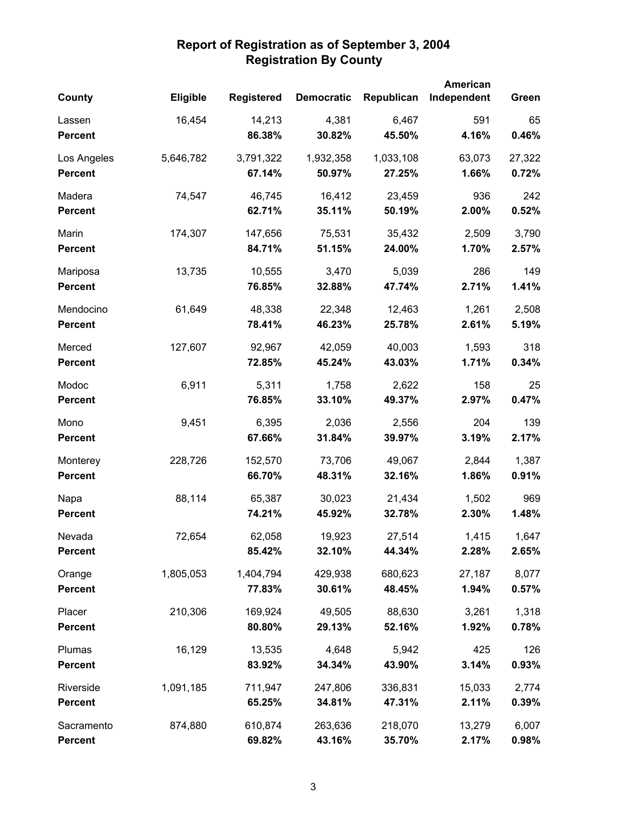|                |                 |                   |                   |            | American    |        |
|----------------|-----------------|-------------------|-------------------|------------|-------------|--------|
| County         | <b>Eligible</b> | <b>Registered</b> | <b>Democratic</b> | Republican | Independent | Green  |
| Lassen         | 16,454          | 14,213            | 4,381             | 6,467      | 591         | 65     |
| <b>Percent</b> |                 | 86.38%            | 30.82%            | 45.50%     | 4.16%       | 0.46%  |
| Los Angeles    | 5,646,782       | 3,791,322         | 1,932,358         | 1,033,108  | 63,073      | 27,322 |
| <b>Percent</b> |                 | 67.14%            | 50.97%            | 27.25%     | 1.66%       | 0.72%  |
| Madera         | 74,547          | 46,745            | 16,412            | 23,459     | 936         | 242    |
| <b>Percent</b> |                 | 62.71%            | 35.11%            | 50.19%     | 2.00%       | 0.52%  |
| Marin          | 174,307         | 147,656           | 75,531            | 35,432     | 2,509       | 3,790  |
| <b>Percent</b> |                 | 84.71%            | 51.15%            | 24.00%     | 1.70%       | 2.57%  |
| Mariposa       | 13,735          | 10,555            | 3,470             | 5,039      | 286         | 149    |
| <b>Percent</b> |                 | 76.85%            | 32.88%            | 47.74%     | 2.71%       | 1.41%  |
| Mendocino      | 61,649          | 48,338            | 22,348            | 12,463     | 1,261       | 2,508  |
| <b>Percent</b> |                 | 78.41%            | 46.23%            | 25.78%     | 2.61%       | 5.19%  |
| Merced         | 127,607         | 92,967            | 42,059            | 40,003     | 1,593       | 318    |
| <b>Percent</b> |                 | 72.85%            | 45.24%            | 43.03%     | 1.71%       | 0.34%  |
| Modoc          | 6,911           | 5,311             | 1,758             | 2,622      | 158         | 25     |
| <b>Percent</b> |                 | 76.85%            | 33.10%            | 49.37%     | 2.97%       | 0.47%  |
| Mono           | 9,451           | 6,395             | 2,036             | 2,556      | 204         | 139    |
| <b>Percent</b> |                 | 67.66%            | 31.84%            | 39.97%     | 3.19%       | 2.17%  |
| Monterey       | 228,726         | 152,570           | 73,706            | 49,067     | 2,844       | 1,387  |
| <b>Percent</b> |                 | 66.70%            | 48.31%            | 32.16%     | 1.86%       | 0.91%  |
| Napa           | 88,114          | 65,387            | 30,023            | 21,434     | 1,502       | 969    |
| <b>Percent</b> |                 | 74.21%            | 45.92%            | 32.78%     | 2.30%       | 1.48%  |
| Nevada         | 72,654          | 62,058            | 19,923            | 27,514     | 1,415       | 1,647  |
| <b>Percent</b> |                 | 85.42%            | 32.10%            | 44.34%     | 2.28%       | 2.65%  |
| Orange         | 1,805,053       | 1,404,794         | 429,938           | 680,623    | 27,187      | 8,077  |
| <b>Percent</b> |                 | 77.83%            | 30.61%            | 48.45%     | 1.94%       | 0.57%  |
| Placer         | 210,306         | 169,924           | 49,505            | 88,630     | 3,261       | 1,318  |
| <b>Percent</b> |                 | 80.80%            | 29.13%            | 52.16%     | 1.92%       | 0.78%  |
| Plumas         | 16,129          | 13,535            | 4,648             | 5,942      | 425         | 126    |
| <b>Percent</b> |                 | 83.92%            | 34.34%            | 43.90%     | 3.14%       | 0.93%  |
| Riverside      | 1,091,185       | 711,947           | 247,806           | 336,831    | 15,033      | 2,774  |
| <b>Percent</b> |                 | 65.25%            | 34.81%            | 47.31%     | 2.11%       | 0.39%  |
| Sacramento     | 874,880         | 610,874           | 263,636           | 218,070    | 13,279      | 6,007  |
| <b>Percent</b> |                 | 69.82%            | 43.16%            | 35.70%     | 2.17%       | 0.98%  |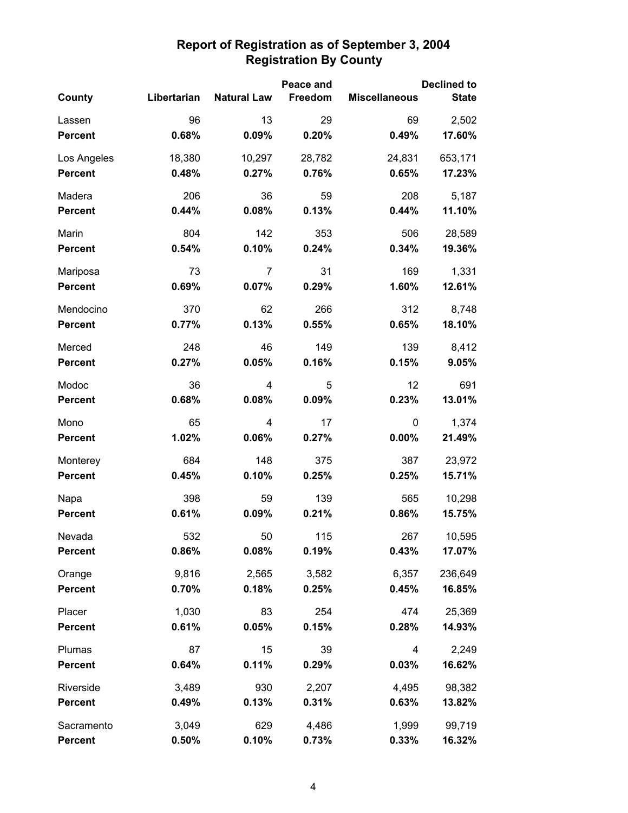|                |             | Peace and          |         | <b>Declined to</b>   |              |
|----------------|-------------|--------------------|---------|----------------------|--------------|
| County         | Libertarian | <b>Natural Law</b> | Freedom | <b>Miscellaneous</b> | <b>State</b> |
| Lassen         | 96          | 13                 | 29      | 69                   | 2,502        |
| <b>Percent</b> | 0.68%       | 0.09%              | 0.20%   | 0.49%                | 17.60%       |
| Los Angeles    | 18,380      | 10,297             | 28,782  | 24,831               | 653,171      |
| <b>Percent</b> | 0.48%       | 0.27%              | 0.76%   | 0.65%                | 17.23%       |
| Madera         | 206         | 36                 | 59      | 208                  | 5,187        |
| Percent        | 0.44%       | 0.08%              | 0.13%   | 0.44%                | 11.10%       |
| Marin          | 804         | 142                | 353     | 506                  | 28,589       |
| <b>Percent</b> | 0.54%       | 0.10%              | 0.24%   | 0.34%                | 19.36%       |
| Mariposa       | 73          | 7                  | 31      | 169                  | 1,331        |
| <b>Percent</b> | 0.69%       | 0.07%              | 0.29%   | 1.60%                | 12.61%       |
| Mendocino      | 370         | 62                 | 266     | 312                  | 8,748        |
| <b>Percent</b> | 0.77%       | 0.13%              | 0.55%   | 0.65%                | 18.10%       |
| Merced         | 248         | 46                 | 149     | 139                  | 8,412        |
| <b>Percent</b> | 0.27%       | 0.05%              | 0.16%   | 0.15%                | 9.05%        |
| Modoc          | 36          | 4                  | 5       | 12                   | 691          |
| <b>Percent</b> | 0.68%       | 0.08%              | 0.09%   | 0.23%                | 13.01%       |
| Mono           | 65          | 4                  | 17      | 0                    | 1,374        |
| <b>Percent</b> | 1.02%       | 0.06%              | 0.27%   | 0.00%                | 21.49%       |
| Monterey       | 684         | 148                | 375     | 387                  | 23,972       |
| <b>Percent</b> | 0.45%       | 0.10%              | 0.25%   | 0.25%                | 15.71%       |
| Napa           | 398         | 59                 | 139     | 565                  | 10,298       |
| <b>Percent</b> | 0.61%       | 0.09%              | 0.21%   | 0.86%                | 15.75%       |
| Nevada         | 532         | 50                 | 115     | 267                  | 10,595       |
| <b>Percent</b> | 0.86%       | 0.08%              | 0.19%   | 0.43%                | 17.07%       |
| Orange         | 9,816       | 2,565              | 3,582   | 6,357                | 236,649      |
| <b>Percent</b> | 0.70%       | 0.18%              | 0.25%   | 0.45%                | 16.85%       |
| Placer         | 1,030       | 83                 | 254     | 474                  | 25,369       |
| <b>Percent</b> | 0.61%       | 0.05%              | 0.15%   | 0.28%                | 14.93%       |
| Plumas         | 87          | 15                 | 39      | 4                    | 2,249        |
| <b>Percent</b> | 0.64%       | 0.11%              | 0.29%   | 0.03%                | 16.62%       |
| Riverside      | 3,489       | 930                | 2,207   | 4,495                | 98,382       |
| <b>Percent</b> | 0.49%       | 0.13%              | 0.31%   | 0.63%                | 13.82%       |
| Sacramento     | 3,049       | 629                | 4,486   | 1,999                | 99,719       |
| <b>Percent</b> | 0.50%       | 0.10%              | 0.73%   | 0.33%                | 16.32%       |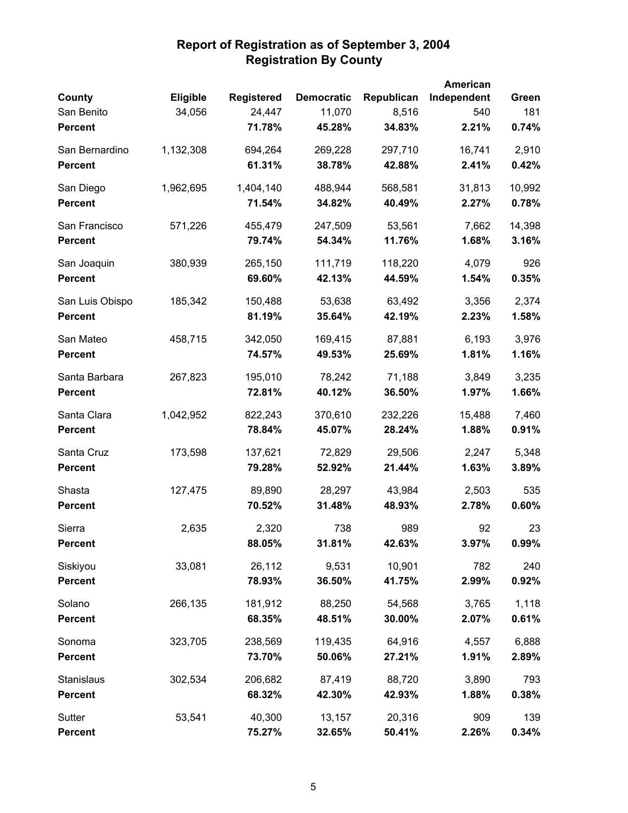|                 |           |                   |                   |            | American    |        |
|-----------------|-----------|-------------------|-------------------|------------|-------------|--------|
| County          | Eligible  | <b>Registered</b> | <b>Democratic</b> | Republican | Independent | Green  |
| San Benito      | 34,056    | 24,447            | 11,070            | 8,516      | 540         | 181    |
| <b>Percent</b>  |           | 71.78%            | 45.28%            | 34.83%     | 2.21%       | 0.74%  |
| San Bernardino  | 1,132,308 | 694,264           | 269,228           | 297,710    | 16,741      | 2,910  |
| <b>Percent</b>  |           | 61.31%            | 38.78%            | 42.88%     | 2.41%       | 0.42%  |
| San Diego       | 1,962,695 | 1,404,140         | 488,944           | 568,581    | 31,813      | 10,992 |
| <b>Percent</b>  |           | 71.54%            | 34.82%            | 40.49%     | 2.27%       | 0.78%  |
| San Francisco   | 571,226   | 455,479           | 247,509           | 53,561     | 7,662       | 14,398 |
| <b>Percent</b>  |           | 79.74%            | 54.34%            | 11.76%     | 1.68%       | 3.16%  |
| San Joaquin     | 380,939   | 265,150           | 111,719           | 118,220    | 4,079       | 926    |
| <b>Percent</b>  |           | 69.60%            | 42.13%            | 44.59%     | 1.54%       | 0.35%  |
| San Luis Obispo | 185,342   | 150,488           | 53,638            | 63,492     | 3,356       | 2,374  |
| <b>Percent</b>  |           | 81.19%            | 35.64%            | 42.19%     | 2.23%       | 1.58%  |
| San Mateo       | 458,715   | 342,050           | 169,415           | 87,881     | 6,193       | 3,976  |
| <b>Percent</b>  |           | 74.57%            | 49.53%            | 25.69%     | 1.81%       | 1.16%  |
| Santa Barbara   | 267,823   | 195,010           | 78,242            | 71,188     | 3,849       | 3,235  |
| <b>Percent</b>  |           | 72.81%            | 40.12%            | 36.50%     | 1.97%       | 1.66%  |
| Santa Clara     | 1,042,952 | 822,243           | 370,610           | 232,226    | 15,488      | 7,460  |
| <b>Percent</b>  |           | 78.84%            | 45.07%            | 28.24%     | 1.88%       | 0.91%  |
| Santa Cruz      | 173,598   | 137,621           | 72,829            | 29,506     | 2,247       | 5,348  |
| <b>Percent</b>  |           | 79.28%            | 52.92%            | 21.44%     | 1.63%       | 3.89%  |
| Shasta          | 127,475   | 89,890            | 28,297            | 43,984     | 2,503       | 535    |
| <b>Percent</b>  |           | 70.52%            | 31.48%            | 48.93%     | 2.78%       | 0.60%  |
| Sierra          | 2,635     | 2,320             | 738               | 989        | 92          | 23     |
| <b>Percent</b>  |           | 88.05%            | 31.81%            | 42.63%     | 3.97%       | 0.99%  |
| Siskiyou        | 33,081    | 26,112            | 9,531             | 10,901     | 782         | 240    |
| <b>Percent</b>  |           | 78.93%            | 36.50%            | 41.75%     | 2.99%       | 0.92%  |
| Solano          | 266,135   | 181,912           | 88,250            | 54,568     | 3,765       | 1,118  |
| <b>Percent</b>  |           | 68.35%            | 48.51%            | 30.00%     | 2.07%       | 0.61%  |
| Sonoma          | 323,705   | 238,569           | 119,435           | 64,916     | 4,557       | 6,888  |
| <b>Percent</b>  |           | 73.70%            | 50.06%            | 27.21%     | 1.91%       | 2.89%  |
| Stanislaus      | 302,534   | 206,682           | 87,419            | 88,720     | 3,890       | 793    |
| <b>Percent</b>  |           | 68.32%            | 42.30%            | 42.93%     | 1.88%       | 0.38%  |
| Sutter          | 53,541    | 40,300            | 13,157            | 20,316     | 909         | 139    |
| <b>Percent</b>  |           | 75.27%            | 32.65%            | 50.41%     | 2.26%       | 0.34%  |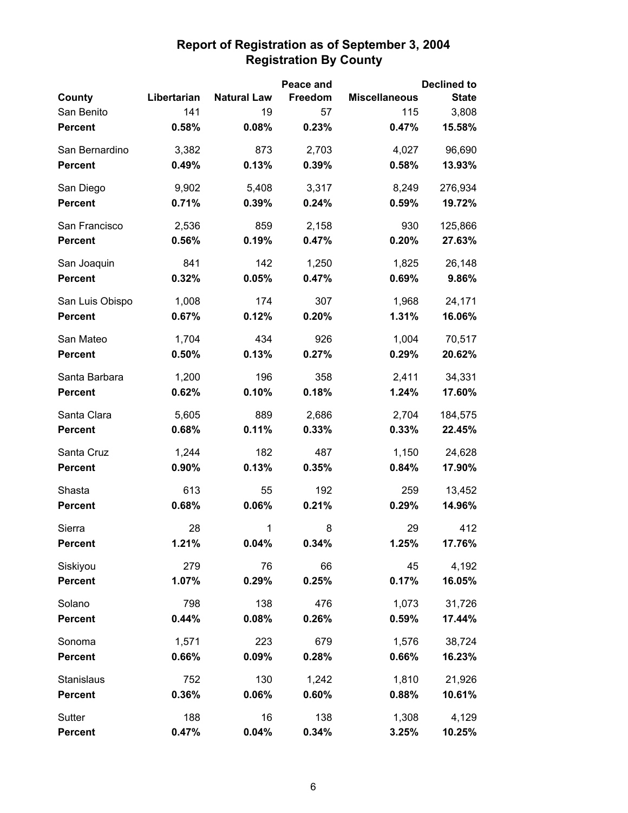|                 |             |                    | Peace and |                      | <b>Declined to</b> |
|-----------------|-------------|--------------------|-----------|----------------------|--------------------|
| County          | Libertarian | <b>Natural Law</b> | Freedom   | <b>Miscellaneous</b> | <b>State</b>       |
| San Benito      | 141         | 19                 | 57        | 115                  | 3,808              |
| <b>Percent</b>  | 0.58%       | 0.08%              | 0.23%     | 0.47%                | 15.58%             |
| San Bernardino  | 3,382       | 873                | 2,703     | 4,027                | 96,690             |
| <b>Percent</b>  | 0.49%       | 0.13%              | 0.39%     | 0.58%                | 13.93%             |
| San Diego       | 9,902       | 5,408              | 3,317     | 8,249                | 276,934            |
| <b>Percent</b>  | 0.71%       | 0.39%              | 0.24%     | 0.59%                | 19.72%             |
| San Francisco   | 2,536       | 859                | 2,158     | 930                  | 125,866            |
| <b>Percent</b>  | 0.56%       | 0.19%              | 0.47%     | 0.20%                | 27.63%             |
| San Joaquin     | 841         | 142                | 1,250     | 1,825                | 26,148             |
| <b>Percent</b>  | 0.32%       | 0.05%              | 0.47%     | 0.69%                | 9.86%              |
| San Luis Obispo | 1,008       | 174                | 307       | 1,968                | 24,171             |
| <b>Percent</b>  | 0.67%       | 0.12%              | 0.20%     | 1.31%                | 16.06%             |
| San Mateo       | 1,704       | 434                | 926       | 1,004                | 70,517             |
| <b>Percent</b>  | 0.50%       | 0.13%              | 0.27%     | 0.29%                | 20.62%             |
| Santa Barbara   | 1,200       | 196                | 358       | 2,411                | 34,331             |
| <b>Percent</b>  | 0.62%       | 0.10%              | 0.18%     | 1.24%                | 17.60%             |
| Santa Clara     | 5,605       | 889                | 2,686     | 2,704                | 184,575            |
| <b>Percent</b>  | 0.68%       | 0.11%              | 0.33%     | 0.33%                | 22.45%             |
| Santa Cruz      | 1,244       | 182                | 487       | 1,150                | 24,628             |
| <b>Percent</b>  | 0.90%       | 0.13%              | 0.35%     | 0.84%                | 17.90%             |
| Shasta          | 613         | 55                 | 192       | 259                  | 13,452             |
| <b>Percent</b>  | 0.68%       | 0.06%              | 0.21%     | 0.29%                | 14.96%             |
| Sierra          | 28          | 1                  | 8         | 29                   | 412                |
| <b>Percent</b>  | 1.21%       | 0.04%              | 0.34%     | 1.25%                | 17.76%             |
| Siskiyou        | 279         | 76                 | 66        | 45                   | 4,192              |
| <b>Percent</b>  | 1.07%       | 0.29%              | 0.25%     | 0.17%                | 16.05%             |
| Solano          | 798         | 138                | 476       | 1,073                | 31,726             |
| <b>Percent</b>  | 0.44%       | 0.08%              | 0.26%     | 0.59%                | 17.44%             |
| Sonoma          | 1,571       | 223                | 679       | 1,576                | 38,724             |
| <b>Percent</b>  | 0.66%       | 0.09%              | 0.28%     | 0.66%                | 16.23%             |
| Stanislaus      | 752         | 130                | 1,242     | 1,810                | 21,926             |
| <b>Percent</b>  | 0.36%       | 0.06%              | 0.60%     | 0.88%                | 10.61%             |
| Sutter          | 188         | 16                 | 138       | 1,308                | 4,129              |
| <b>Percent</b>  | 0.47%       | 0.04%              | 0.34%     | 3.25%                | 10.25%             |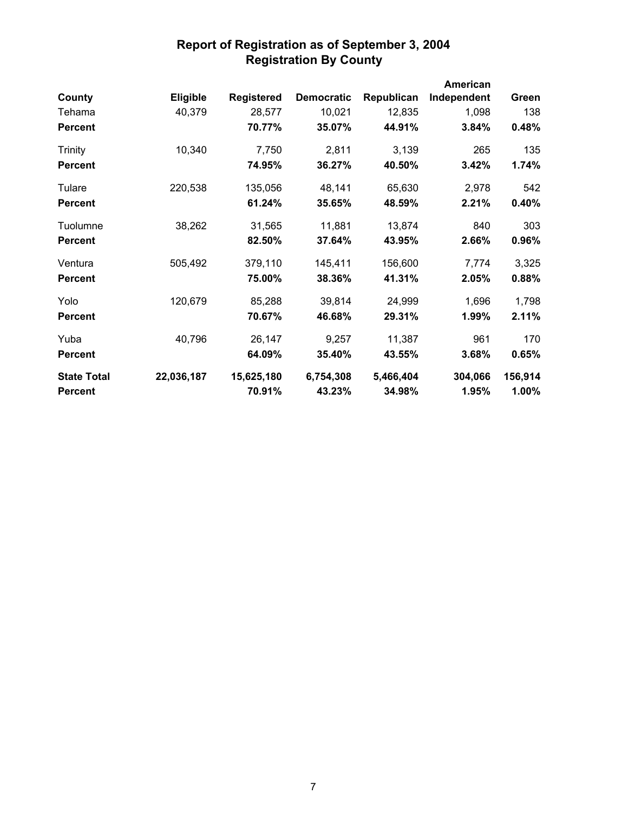|                    |            |                   |                   |            | <b>American</b> |         |
|--------------------|------------|-------------------|-------------------|------------|-----------------|---------|
| County             | Eligible   | <b>Registered</b> | <b>Democratic</b> | Republican | Independent     | Green   |
| Tehama             | 40,379     | 28,577            | 10,021            | 12,835     | 1,098           | 138     |
| <b>Percent</b>     |            | 70.77%            | 35.07%            | 44.91%     | 3.84%           | 0.48%   |
| Trinity            | 10,340     | 7,750             | 2,811             | 3,139      | 265             | 135     |
| <b>Percent</b>     |            | 74.95%            | 36.27%            | 40.50%     | 3.42%           | 1.74%   |
| Tulare             | 220,538    | 135,056           | 48,141            | 65,630     | 2,978           | 542     |
| <b>Percent</b>     |            | 61.24%            | 35.65%            | 48.59%     | 2.21%           | 0.40%   |
| Tuolumne           | 38,262     | 31,565            | 11,881            | 13,874     | 840             | 303     |
| <b>Percent</b>     |            | 82.50%            | 37.64%            | 43.95%     | 2.66%           | 0.96%   |
| Ventura            | 505,492    | 379,110           | 145,411           | 156,600    | 7,774           | 3,325   |
| <b>Percent</b>     |            | 75.00%            | 38.36%            | 41.31%     | 2.05%           | 0.88%   |
| Yolo               | 120,679    | 85,288            | 39,814            | 24,999     | 1,696           | 1,798   |
| <b>Percent</b>     |            | 70.67%            | 46.68%            | 29.31%     | 1.99%           | 2.11%   |
| Yuba               | 40,796     | 26,147            | 9,257             | 11,387     | 961             | 170     |
| <b>Percent</b>     |            | 64.09%            | 35.40%            | 43.55%     | 3.68%           | 0.65%   |
| <b>State Total</b> | 22,036,187 | 15,625,180        | 6,754,308         | 5,466,404  | 304,066         | 156,914 |
| <b>Percent</b>     |            | 70.91%            | 43.23%            | 34.98%     | 1.95%           | 1.00%   |